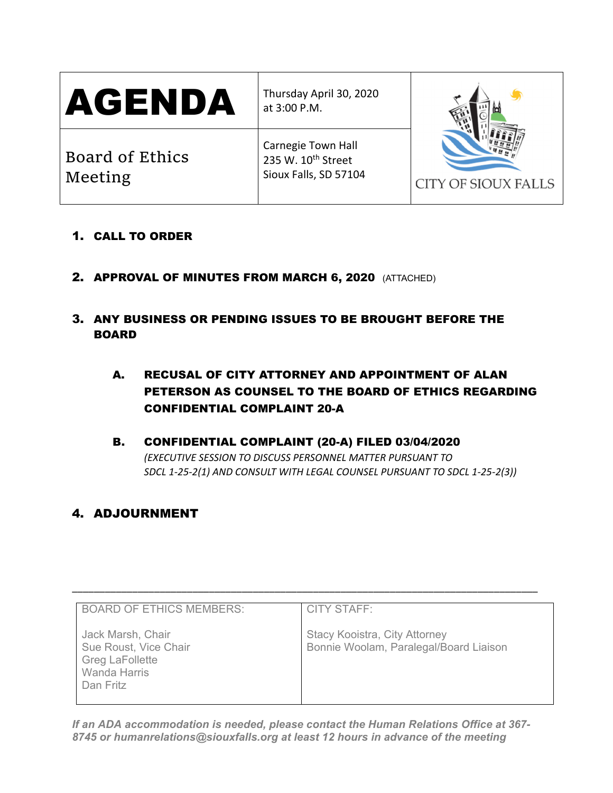Thursday April 30, 2020 at 3:00 P.M.

Board of Ethics Meeting

Carnegie Town Hall 235 W. 10<sup>th</sup> Street

Sioux Falls, SD 57104



- 1. CALL TO ORDER
- 2. APPROVAL OF MINUTES FROM MARCH 6, 2020 (ATTACHED)
- 3. ANY BUSINESS OR PENDING ISSUES TO BE BROUGHT BEFORE THE BOARD
	- A. RECUSAL OF CITY ATTORNEY AND APPOINTMENT OF ALAN PETERSON AS COUNSEL TO THE BOARD OF ETHICS REGARDING CONFIDENTIAL COMPLAINT 20-A
	- B. CONFIDENTIAL COMPLAINT (20-A) FILED 03/04/2020 *(EXECUTIVE SESSION TO DISCUSS PERSONNEL MATTER PURSUANT TO SDCL 1-25-2(1) AND CONSULT WITH LEGAL COUNSEL PURSUANT TO SDCL 1-25-2(3))*

# 4. ADJOURNMENT

| <b>BOARD OF ETHICS MEMBERS:</b>                                                                   | <b>CITY STAFF:</b>                                                             |
|---------------------------------------------------------------------------------------------------|--------------------------------------------------------------------------------|
| Jack Marsh, Chair<br>Sue Roust, Vice Chair<br><b>Greg LaFollette</b><br>Wanda Harris<br>Dan Fritz | <b>Stacy Kooistra, City Attorney</b><br>Bonnie Woolam, Paralegal/Board Liaison |

\_\_\_\_\_\_\_\_\_\_\_\_\_\_\_\_\_\_\_\_\_\_\_\_\_\_\_\_\_\_\_\_\_\_\_\_\_\_\_\_\_\_\_\_\_\_\_\_\_\_\_\_\_\_\_\_\_\_\_\_\_\_\_\_\_\_\_\_\_\_\_\_\_\_\_\_\_\_\_\_\_\_\_\_\_

*If an ADA accommodation is needed, please contact the Human Relations Office at 367- 8745 or humanrelations@siouxfalls.org at least 12 hours in advance of the meeting*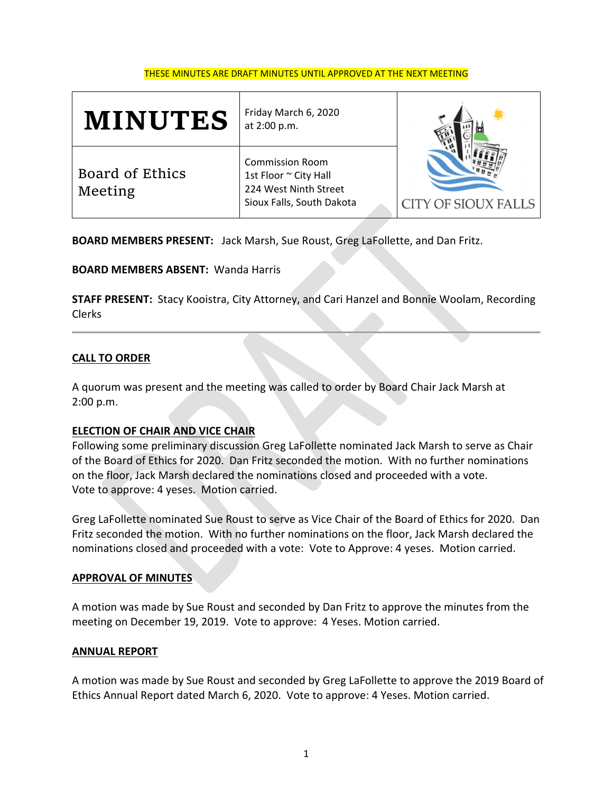#### THESE MINUTES ARE DRAFT MINUTES UNTIL APPROVED AT THE NEXT MEETING

| <b>MINUTES</b>             | Friday March 6, 2020<br>at 2:00 p.m.                                                                  |                            |
|----------------------------|-------------------------------------------------------------------------------------------------------|----------------------------|
| Board of Ethics<br>Meeting | <b>Commission Room</b><br>1st Floor ~ City Hall<br>224 West Ninth Street<br>Sioux Falls, South Dakota | <b>CITY OF SIOUX FALLS</b> |

**BOARD MEMBERS PRESENT:** Jack Marsh, Sue Roust, Greg LaFollette, and Dan Fritz.

**BOARD MEMBERS ABSENT:** Wanda Harris

**STAFF PRESENT:** Stacy Kooistra, City Attorney, and Cari Hanzel and Bonnie Woolam, Recording Clerks

### **CALL TO ORDER**

A quorum was present and the meeting was called to order by Board Chair Jack Marsh at 2:00 p.m.

### **ELECTION OF CHAIR AND VICE CHAIR**

Following some preliminary discussion Greg LaFollette nominated Jack Marsh to serve as Chair of the Board of Ethics for 2020. Dan Fritz seconded the motion. With no further nominations on the floor, Jack Marsh declared the nominations closed and proceeded with a vote. Vote to approve: 4 yeses. Motion carried.

Greg LaFollette nominated Sue Roust to serve as Vice Chair of the Board of Ethics for 2020. Dan Fritz seconded the motion. With no further nominations on the floor, Jack Marsh declared the nominations closed and proceeded with a vote: Vote to Approve: 4 yeses. Motion carried.

### **APPROVAL OF MINUTES**

A motion was made by Sue Roust and seconded by Dan Fritz to approve the minutes from the meeting on December 19, 2019. Vote to approve: 4 Yeses. Motion carried.

### **ANNUAL REPORT**

A motion was made by Sue Roust and seconded by Greg LaFollette to approve the 2019 Board of Ethics Annual Report dated March 6, 2020. Vote to approve: 4 Yeses. Motion carried.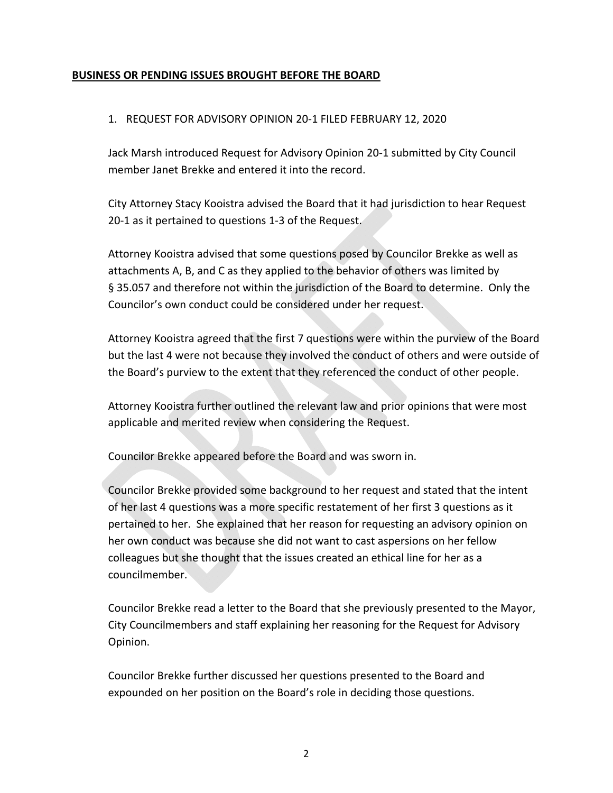### **BUSINESS OR PENDING ISSUES BROUGHT BEFORE THE BOARD**

### 1. REQUEST FOR ADVISORY OPINION 20‐1 FILED FEBRUARY 12, 2020

Jack Marsh introduced Request for Advisory Opinion 20‐1 submitted by City Council member Janet Brekke and entered it into the record.

City Attorney Stacy Kooistra advised the Board that it had jurisdiction to hear Request 20-1 as it pertained to questions 1-3 of the Request.

Attorney Kooistra advised that some questions posed by Councilor Brekke as well as attachments A, B, and C as they applied to the behavior of others was limited by § 35.057 and therefore not within the jurisdiction of the Board to determine. Only the Councilor's own conduct could be considered under her request.

Attorney Kooistra agreed that the first 7 questions were within the purview of the Board but the last 4 were not because they involved the conduct of others and were outside of the Board's purview to the extent that they referenced the conduct of other people.

Attorney Kooistra further outlined the relevant law and prior opinions that were most applicable and merited review when considering the Request.

Councilor Brekke appeared before the Board and was sworn in.

Councilor Brekke provided some background to her request and stated that the intent of her last 4 questions was a more specific restatement of her first 3 questions as it pertained to her. She explained that her reason for requesting an advisory opinion on her own conduct was because she did not want to cast aspersions on her fellow colleagues but she thought that the issues created an ethical line for her as a councilmember.

Councilor Brekke read a letter to the Board that she previously presented to the Mayor, City Councilmembers and staff explaining her reasoning for the Request for Advisory Opinion.

Councilor Brekke further discussed her questions presented to the Board and expounded on her position on the Board's role in deciding those questions.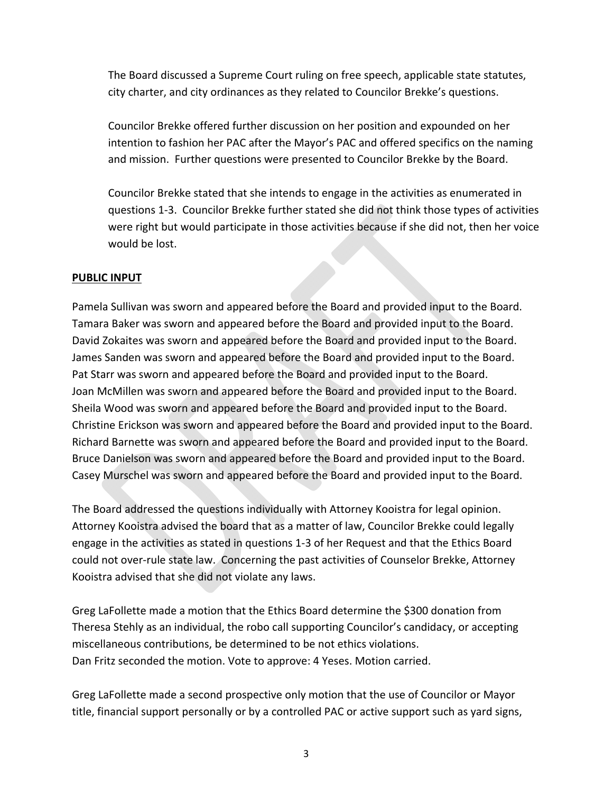The Board discussed a Supreme Court ruling on free speech, applicable state statutes, city charter, and city ordinances as they related to Councilor Brekke's questions.

Councilor Brekke offered further discussion on her position and expounded on her intention to fashion her PAC after the Mayor's PAC and offered specifics on the naming and mission. Further questions were presented to Councilor Brekke by the Board.

Councilor Brekke stated that she intends to engage in the activities as enumerated in questions 1‐3. Councilor Brekke further stated she did not think those types of activities were right but would participate in those activities because if she did not, then her voice would be lost.

### **PUBLIC INPUT**

Pamela Sullivan was sworn and appeared before the Board and provided input to the Board. Tamara Baker was sworn and appeared before the Board and provided input to the Board. David Zokaites was sworn and appeared before the Board and provided input to the Board. James Sanden was sworn and appeared before the Board and provided input to the Board. Pat Starr was sworn and appeared before the Board and provided input to the Board. Joan McMillen was sworn and appeared before the Board and provided input to the Board. Sheila Wood was sworn and appeared before the Board and provided input to the Board. Christine Erickson was sworn and appeared before the Board and provided input to the Board. Richard Barnette was sworn and appeared before the Board and provided input to the Board. Bruce Danielson was sworn and appeared before the Board and provided input to the Board. Casey Murschel was sworn and appeared before the Board and provided input to the Board.

The Board addressed the questions individually with Attorney Kooistra for legal opinion. Attorney Kooistra advised the board that as a matter of law, Councilor Brekke could legally engage in the activities as stated in questions 1‐3 of her Request and that the Ethics Board could not over‐rule state law. Concerning the past activities of Counselor Brekke, Attorney Kooistra advised that she did not violate any laws.

Greg LaFollette made a motion that the Ethics Board determine the \$300 donation from Theresa Stehly as an individual, the robo call supporting Councilor's candidacy, or accepting miscellaneous contributions, be determined to be not ethics violations. Dan Fritz seconded the motion. Vote to approve: 4 Yeses. Motion carried.

Greg LaFollette made a second prospective only motion that the use of Councilor or Mayor title, financial support personally or by a controlled PAC or active support such as yard signs,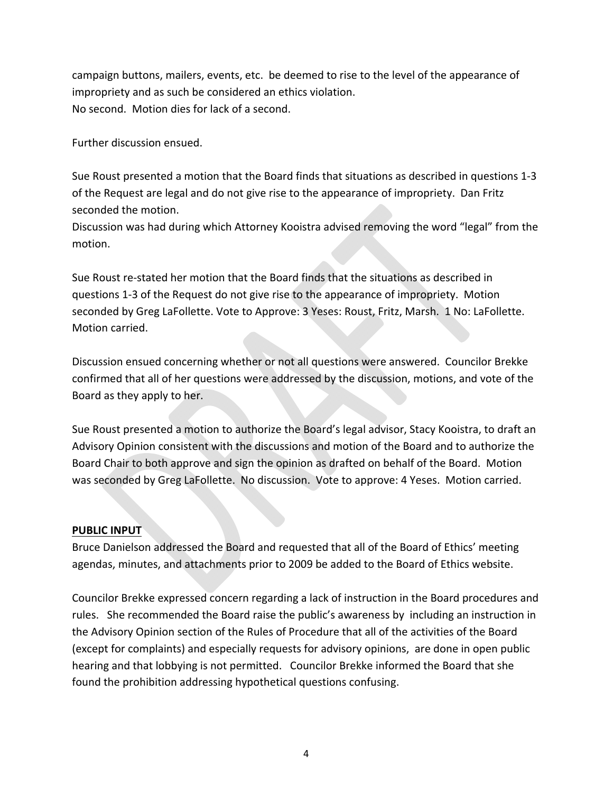campaign buttons, mailers, events, etc. be deemed to rise to the level of the appearance of impropriety and as such be considered an ethics violation. No second. Motion dies for lack of a second.

Further discussion ensued.

Sue Roust presented a motion that the Board finds that situations as described in questions 1‐3 of the Request are legal and do not give rise to the appearance of impropriety. Dan Fritz seconded the motion.

Discussion was had during which Attorney Kooistra advised removing the word "legal" from the motion.

Sue Roust re‐stated her motion that the Board finds that the situations as described in questions 1‐3 of the Request do not give rise to the appearance of impropriety. Motion seconded by Greg LaFollette. Vote to Approve: 3 Yeses: Roust, Fritz, Marsh. 1 No: LaFollette. Motion carried.

Discussion ensued concerning whether or not all questions were answered. Councilor Brekke confirmed that all of her questions were addressed by the discussion, motions, and vote of the Board as they apply to her.

Sue Roust presented a motion to authorize the Board's legal advisor, Stacy Kooistra, to draft an Advisory Opinion consistent with the discussions and motion of the Board and to authorize the Board Chair to both approve and sign the opinion as drafted on behalf of the Board. Motion was seconded by Greg LaFollette. No discussion. Vote to approve: 4 Yeses. Motion carried.

### **PUBLIC INPUT**

Bruce Danielson addressed the Board and requested that all of the Board of Ethics' meeting agendas, minutes, and attachments prior to 2009 be added to the Board of Ethics website.

Councilor Brekke expressed concern regarding a lack of instruction in the Board procedures and rules. She recommended the Board raise the public's awareness by including an instruction in the Advisory Opinion section of the Rules of Procedure that all of the activities of the Board (except for complaints) and especially requests for advisory opinions, are done in open public hearing and that lobbying is not permitted. Councilor Brekke informed the Board that she found the prohibition addressing hypothetical questions confusing.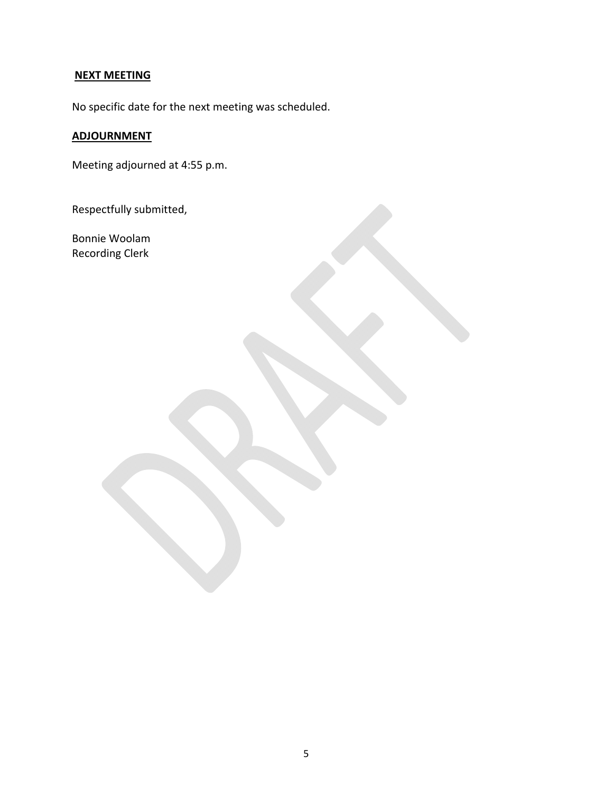# **NEXT MEETING**

No specific date for the next meeting was scheduled.

# **ADJOURNMENT**

Meeting adjourned at 4:55 p.m.

Respectfully submitted,

Bonnie Woolam Recording Clerk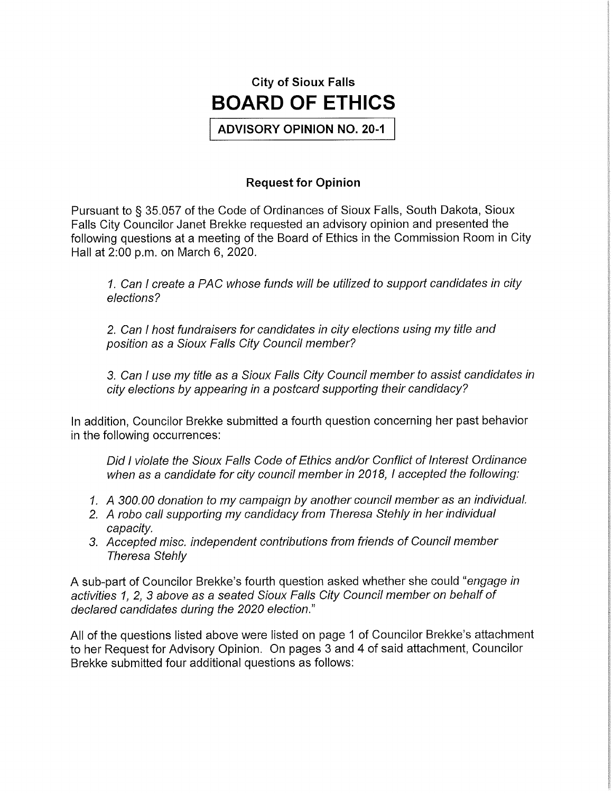

**ADVISORY OPINION NO. 20-1** 

# **Request for Opinion**

Pursuant to § 35.057 of the Code of Ordinances of Sioux Falls, South Dakota, Sioux Falls City Councilor Janet Brekke requested an advisory opinion and presented the following questions at a meeting of the Board of Ethics in the Commission Room in City Hall at 2:00 p.m. on March 6, 2020.

1. Can I create a PAC whose funds will be utilized to support candidates in city elections?

2. Can I host fundraisers for candidates in city elections using my title and position as a Sioux Falls City Council member?

3. Can I use my title as a Sioux Falls City Council member to assist candidates in city elections by appearing in a postcard supporting their candidacy?

In addition, Councilor Brekke submitted a fourth question concerning her past behavior in the following occurrences:

Did I violate the Sioux Falls Code of Ethics and/or Conflict of Interest Ordinance when as a candidate for city council member in 2018. I accepted the following:

- 1. A 300.00 donation to my campaign by another council member as an individual.
- 2. A robo call supporting my candidacy from Theresa Stehly in her individual capacity.
- 3. Accepted misc. independent contributions from friends of Council member **Theresa Stehly**

A sub-part of Councilor Brekke's fourth question asked whether she could "engage in activities 1, 2, 3 above as a seated Sioux Falls City Council member on behalf of declared candidates during the 2020 election."

All of the questions listed above were listed on page 1 of Councilor Brekke's attachment to her Request for Advisory Opinion. On pages 3 and 4 of said attachment, Councilor Brekke submitted four additional questions as follows: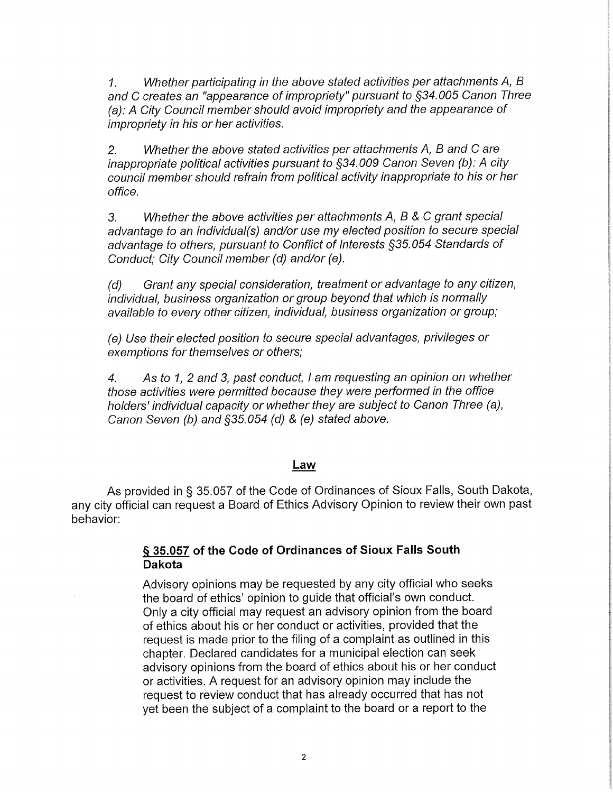Whether participating in the above stated activities per attachments A, B  $1<sub>1</sub>$ and C creates an "appearance of impropriety" pursuant to §34.005 Canon Three (a): A City Council member should avoid impropriety and the appearance of *impropriety in his or her activities.* 

Whether the above stated activities per attachments A, B and C are  $2.$ inappropriate political activities pursuant to §34.009 Canon Seven (b): A city council member should refrain from political activity inappropriate to his or her office.

 $3<sub>l</sub>$ Whether the above activities per attachments A, B & C grant special advantage to an individual(s) and/or use my elected position to secure special advantage to others, pursuant to Conflict of Interests \$35.054 Standards of Conduct; City Council member (d) and/or (e).

Grant any special consideration, treatment or advantage to any citizen,  $(d)$ individual, business organization or group beyond that which is normally available to every other citizen, individual, business organization or group;

(e) Use their elected position to secure special advantages, privileges or exemptions for themselves or others;

As to 1, 2 and 3, past conduct, I am requesting an opinion on whether  $\overline{4}$ . those activities were permitted because they were performed in the office holders' individual capacity or whether they are subject to Canon Three (a). Canon Seven (b) and §35.054 (d) & (e) stated above.

### Law

As provided in § 35.057 of the Code of Ordinances of Sioux Falls, South Dakota, any city official can request a Board of Ethics Advisory Opinion to review their own past behavior:

## § 35.057 of the Code of Ordinances of Sioux Falls South **Dakota**

Advisory opinions may be requested by any city official who seeks the board of ethics' opinion to guide that official's own conduct. Only a city official may request an advisory opinion from the board of ethics about his or her conduct or activities, provided that the request is made prior to the filing of a complaint as outlined in this chapter. Declared candidates for a municipal election can seek advisory opinions from the board of ethics about his or her conduct or activities. A request for an advisory opinion may include the request to review conduct that has already occurred that has not yet been the subject of a complaint to the board or a report to the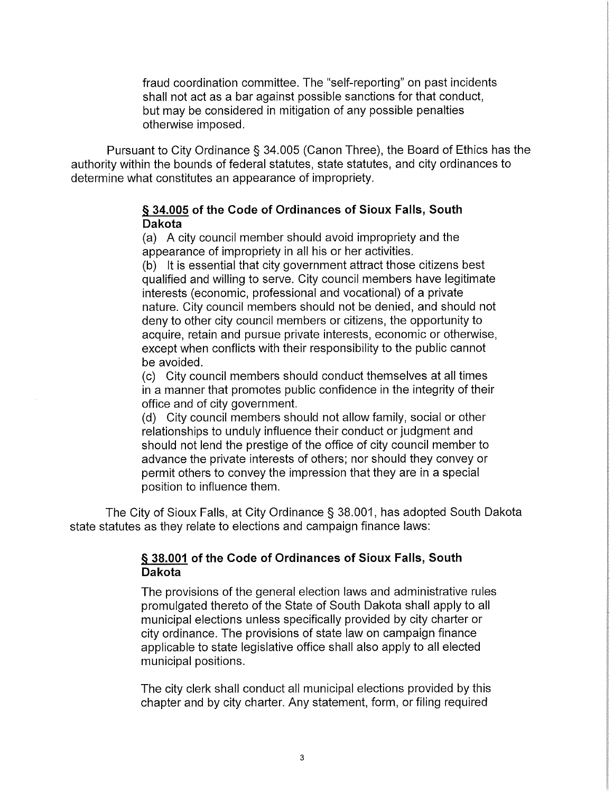fraud coordination committee. The "self-reporting" on past incidents shall not act as a bar against possible sanctions for that conduct, but may be considered in mitigation of any possible penalties otherwise imposed.

Pursuant to City Ordinance § 34.005 (Canon Three), the Board of Ethics has the authority within the bounds of federal statutes, state statutes, and city ordinances to determine what constitutes an appearance of impropriety.

### § 34.005 of the Code of Ordinances of Sioux Falls, South **Dakota**

(a) A city council member should avoid impropriety and the appearance of impropriety in all his or her activities.

(b) It is essential that city government attract those citizens best qualified and willing to serve. City council members have legitimate interests (economic, professional and vocational) of a private nature. City council members should not be denied, and should not deny to other city council members or citizens, the opportunity to acquire, retain and pursue private interests, economic or otherwise, except when conflicts with their responsibility to the public cannot be avoided.

(c) City council members should conduct themselves at all times in a manner that promotes public confidence in the integrity of their office and of city government.

(d) City council members should not allow family, social or other relationships to unduly influence their conduct or judgment and should not lend the prestige of the office of city council member to advance the private interests of others; nor should they convey or permit others to convey the impression that they are in a special position to influence them.

The City of Sioux Falls, at City Ordinance § 38.001, has adopted South Dakota state statutes as they relate to elections and campaign finance laws:

### § 38.001 of the Code of Ordinances of Sioux Falls, South **Dakota**

The provisions of the general election laws and administrative rules promulgated thereto of the State of South Dakota shall apply to all municipal elections unless specifically provided by city charter or city ordinance. The provisions of state law on campaign finance applicable to state legislative office shall also apply to all elected municipal positions.

The city clerk shall conduct all municipal elections provided by this chapter and by city charter. Any statement, form, or filing required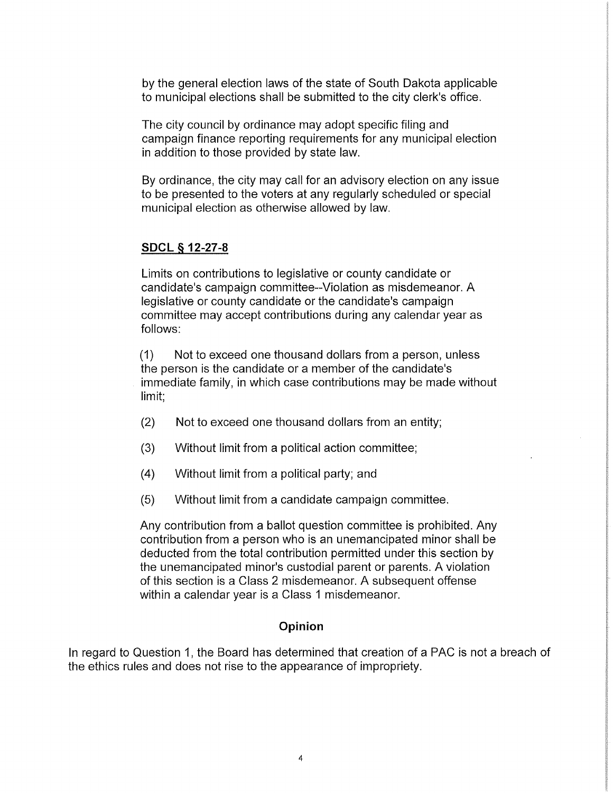by the general election laws of the state of South Dakota applicable to municipal elections shall be submitted to the city clerk's office.

The city council by ordinance may adopt specific filing and campaign finance reporting requirements for any municipal election in addition to those provided by state law.

By ordinance, the city may call for an advisory election on any issue to be presented to the voters at any regularly scheduled or special municipal election as otherwise allowed by law.

# **SDCL § 12-27-8**

Limits on contributions to legislative or county candidate or candidate's campaign committee--Violation as misdemeanor. A legislative or county candidate or the candidate's campaign committee may accept contributions during any calendar year as follows:

 $(1)$ Not to exceed one thousand dollars from a person, unless the person is the candidate or a member of the candidate's immediate family, in which case contributions may be made without limit:

- $(2)$ Not to exceed one thousand dollars from an entity;
- $(3)$ Without limit from a political action committee;
- $(4)$ Without limit from a political party; and
- $(5)$ Without limit from a candidate campaign committee.

Any contribution from a ballot question committee is prohibited. Any contribution from a person who is an unemancipated minor shall be deducted from the total contribution permitted under this section by the unemancipated minor's custodial parent or parents. A violation of this section is a Class 2 misdemeanor. A subsequent offense within a calendar year is a Class 1 misdemeanor.

### Opinion

In regard to Question 1, the Board has determined that creation of a PAC is not a breach of the ethics rules and does not rise to the appearance of impropriety.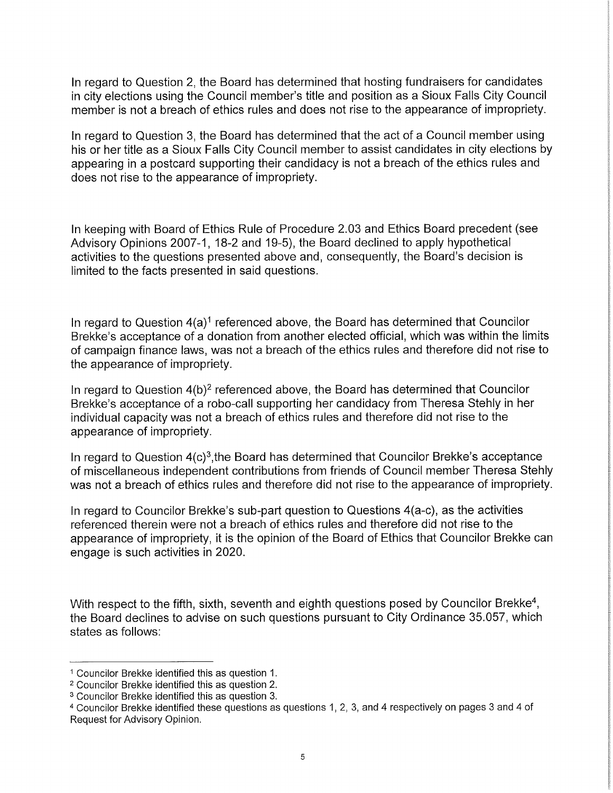In regard to Question 2, the Board has determined that hosting fundraisers for candidates in city elections using the Council member's title and position as a Sioux Falls City Council member is not a breach of ethics rules and does not rise to the appearance of impropriety.

In regard to Question 3, the Board has determined that the act of a Council member using his or her title as a Sioux Falls City Council member to assist candidates in city elections by appearing in a postcard supporting their candidacy is not a breach of the ethics rules and does not rise to the appearance of impropriety.

In keeping with Board of Ethics Rule of Procedure 2.03 and Ethics Board precedent (see Advisory Opinions 2007-1, 18-2 and 19-5), the Board declined to apply hypothetical activities to the questions presented above and, consequently, the Board's decision is limited to the facts presented in said questions.

In regard to Question  $4(a)^1$  referenced above, the Board has determined that Councilor Brekke's acceptance of a donation from another elected official, which was within the limits of campaign finance laws, was not a breach of the ethics rules and therefore did not rise to the appearance of impropriety.

In regard to Question 4(b)<sup>2</sup> referenced above, the Board has determined that Councilor Brekke's acceptance of a robo-call supporting her candidacy from Theresa Stehly in her individual capacity was not a breach of ethics rules and therefore did not rise to the appearance of impropriety.

In regard to Question  $4(c)^3$ , the Board has determined that Councilor Brekke's acceptance of miscellaneous independent contributions from friends of Council member Theresa Stehly was not a breach of ethics rules and therefore did not rise to the appearance of impropriety.

In regard to Councilor Brekke's sub-part question to Questions 4(a-c), as the activities referenced therein were not a breach of ethics rules and therefore did not rise to the appearance of impropriety, it is the opinion of the Board of Ethics that Councilor Brekke can engage is such activities in 2020.

With respect to the fifth, sixth, seventh and eighth questions posed by Councilor Brekke<sup>4</sup>, the Board declines to advise on such questions pursuant to City Ordinance 35.057, which states as follows:

<sup>&</sup>lt;sup>1</sup> Councilor Brekke identified this as question 1.

<sup>&</sup>lt;sup>2</sup> Councilor Brekke identified this as question 2.

<sup>&</sup>lt;sup>3</sup> Councilor Brekke identified this as question 3.

<sup>4</sup> Councilor Brekke identified these questions as questions 1, 2, 3, and 4 respectively on pages 3 and 4 of Request for Advisory Opinion.